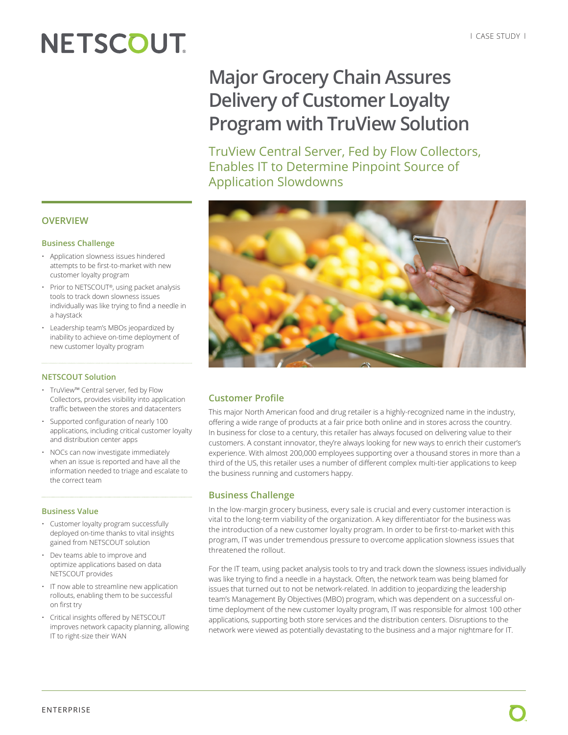# **NETSCOUT**

# **Major Grocery Chain Assures Delivery of Customer Loyalty Program with TruView Solution**

TruView Central Server, Fed by Flow Collectors, Enables IT to Determine Pinpoint Source of Application Slowdowns



## **Customer Profile**

This major North American food and drug retailer is a highly-recognized name in the industry, offering a wide range of products at a fair price both online and in stores across the country. In business for close to a century, this retailer has always focused on delivering value to their customers. A constant innovator, they're always looking for new ways to enrich their customer's experience. With almost 200,000 employees supporting over a thousand stores in more than a third of the US, this retailer uses a number of different complex multi-tier applications to keep the business running and customers happy.

## **Business Challenge**

In the low-margin grocery business, every sale is crucial and every customer interaction is vital to the long-term viability of the organization. A key differentiator for the business was the introduction of a new customer loyalty program. In order to be first-to-market with this program, IT was under tremendous pressure to overcome application slowness issues that threatened the rollout.

For the IT team, using packet analysis tools to try and track down the slowness issues individually was like trying to find a needle in a haystack. Often, the network team was being blamed for issues that turned out to not be network-related. In addition to jeopardizing the leadership team's Management By Objectives (MBO) program, which was dependent on a successful ontime deployment of the new customer loyalty program, IT was responsible for almost 100 other applications, supporting both store services and the distribution centers. Disruptions to the network were viewed as potentially devastating to the business and a major nightmare for IT.

### **OVERVIEW**

#### **Business Challenge**

- Application slowness issues hindered attempts to be first-to-market with new customer loyalty program
- Prior to NETSCOUT®, using packet analysis tools to track down slowness issues individually was like trying to find a needle in a haystack
- Leadership team's MBOs jeopardized by inability to achieve on-time deployment of new customer loyalty program

#### **NETSCOUT Solution**

- TruView™ Central server, fed by Flow Collectors, provides visibility into application traffic between the stores and datacenters
- Supported configuration of nearly 100 applications, including critical customer loyalty and distribution center apps
- NOCs can now investigate immediately when an issue is reported and have all the information needed to triage and escalate to the correct team

#### **Business Value**

- Customer loyalty program successfully deployed on-time thanks to vital insights gained from NETSCOUT solution
- Dev teams able to improve and optimize applications based on data NETSCOUT provides
- IT now able to streamline new application rollouts, enabling them to be successful on first try
- Critical insights offered by NETSCOUT improves network capacity planning, allowing IT to right-size their WAN